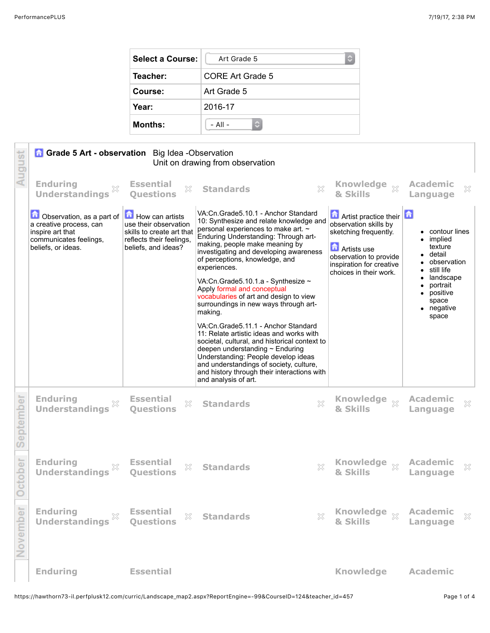| <b>Select a Course:</b> | Art Grade 5<br>C) |  |  |  |
|-------------------------|-------------------|--|--|--|
| Teacher:                | CORE Art Grade 5  |  |  |  |
| Course:                 | Art Grade 5       |  |  |  |
| Year:                   | 2016-17           |  |  |  |
| <b>Months:</b>          | $-$ All $-$       |  |  |  |

| August    | <b>Grade 5 Art - observation</b> Big Idea -Observation<br>Unit on drawing from observation                               |                                                                                                                          |                                                                                                                                                                                                                                                                                                                                                                                                                                                     |                                                                                                                                                                                        |                                                                                                                                                                     |  |
|-----------|--------------------------------------------------------------------------------------------------------------------------|--------------------------------------------------------------------------------------------------------------------------|-----------------------------------------------------------------------------------------------------------------------------------------------------------------------------------------------------------------------------------------------------------------------------------------------------------------------------------------------------------------------------------------------------------------------------------------------------|----------------------------------------------------------------------------------------------------------------------------------------------------------------------------------------|---------------------------------------------------------------------------------------------------------------------------------------------------------------------|--|
|           | <b>Enduring</b><br><b>Understandings</b>                                                                                 | <b>Essential</b><br>X<br><b>Questions</b>                                                                                | 53<br><b>Standards</b>                                                                                                                                                                                                                                                                                                                                                                                                                              | & Skills                                                                                                                                                                               | <b>Academic</b><br>X<br>Language                                                                                                                                    |  |
|           | Observation, as a part of<br>a creative process, can<br>inspire art that<br>communicates feelings,<br>beliefs, or ideas. | How can artists<br>use their observation<br>skills to create art that<br>reflects their feelings,<br>beliefs, and ideas? | VA:Cn.Grade5.10.1 - Anchor Standard<br>10: Synthesize and relate knowledge and<br>personal experiences to make art. ~<br>Enduring Understanding: Through art-<br>making, people make meaning by<br>investigating and developing awareness<br>of perceptions, knowledge, and<br>experiences.<br>VA:Cn.Grade5.10.1.a - Synthesize ~<br>Apply formal and conceptual<br>vocabularies of art and design to view<br>surroundings in new ways through art- | <b>Artist practice their</b><br>observation skills by<br>sketching frequently.<br><b>n</b> Artists use<br>observation to provide<br>inspiration for creative<br>choices in their work. | $\bullet$ contour lines<br>implied<br>texture<br>• detail<br>• observation<br>$\bullet$ still life<br>landscape<br>portrait<br>٠<br>positive<br>space<br>• negative |  |
|           |                                                                                                                          |                                                                                                                          | making.<br>VA:Cn.Grade5.11.1 - Anchor Standard<br>11: Relate artistic ideas and works with<br>societal, cultural, and historical context to<br>deepen understanding ~ Enduring                                                                                                                                                                                                                                                                      |                                                                                                                                                                                        | space                                                                                                                                                               |  |
|           |                                                                                                                          |                                                                                                                          | Understanding: People develop ideas<br>and understandings of society, culture,<br>and history through their interactions with<br>and analysis of art.                                                                                                                                                                                                                                                                                               |                                                                                                                                                                                        |                                                                                                                                                                     |  |
| September | <b>Enduring</b><br><b>Understandings</b>                                                                                 | <b>Essential</b><br>X<br><b>Ouestions</b>                                                                                | <b>Standards</b><br>X                                                                                                                                                                                                                                                                                                                                                                                                                               | <b>Knowledge</b><br>$\chi$<br>& Skills                                                                                                                                                 | <b>Academic</b><br>×<br>Language                                                                                                                                    |  |
| October   | <b>Enduring</b><br><b>Understandings</b>                                                                                 | <b>Essential</b><br>X<br><b>Ouestions</b>                                                                                | X<br><b>Standards</b>                                                                                                                                                                                                                                                                                                                                                                                                                               | <b>Knowledge</b><br>$\S 2$<br>& Skills                                                                                                                                                 | <b>Academic</b><br>X<br>Language                                                                                                                                    |  |
| November  | <b>Enduring</b><br>X<br><b>Understandings</b>                                                                            | <b>Essential</b><br>X<br><b>Questions</b>                                                                                | X<br><b>Standards</b>                                                                                                                                                                                                                                                                                                                                                                                                                               | Knowledge xx<br>& Skills                                                                                                                                                               | <b>Academic</b><br>$\mathbb{X}$<br>Language                                                                                                                         |  |
|           | <b>Enduring</b>                                                                                                          | <b>Essential</b>                                                                                                         |                                                                                                                                                                                                                                                                                                                                                                                                                                                     | <b>Knowledge</b>                                                                                                                                                                       | <b>Academic</b>                                                                                                                                                     |  |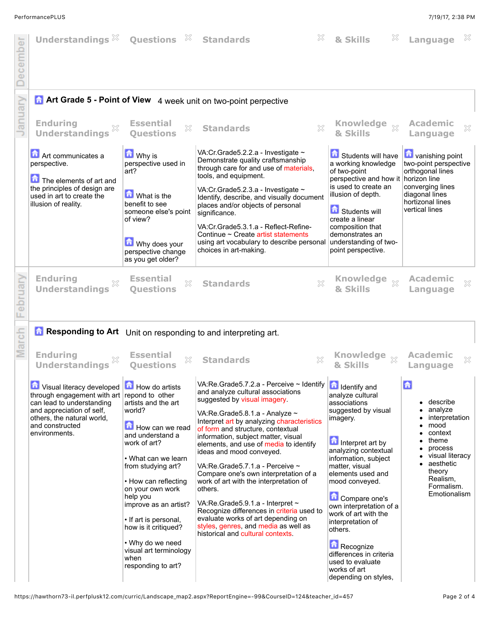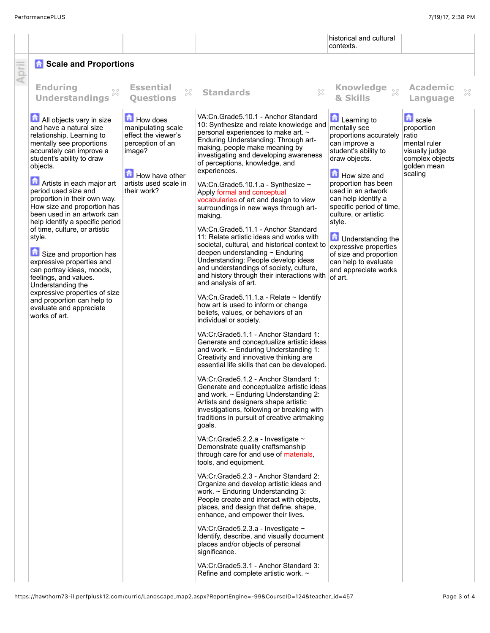|       |                                                                                                                                                                                                                                                                                                                                                                                                                                                                                                                                                                                                                                                                  |                                                                                                                                               |                                                                                                                                                                                                                                                                                                                                                                                                                                                                                                                                                                                                                                                                                                                                                                                                                                                                                                                                                                                                                                                                                                                                                                                                                                                                                                                                                                                                                                                                                                                                                                                                                                                                                                                                                                                                                                                                                                                                                                                                                                                                                                                | historical and cultural<br>contexts.                                                                                                                                                                                                                                                                                                                                                                                 |                                                                                                                      |   |
|-------|------------------------------------------------------------------------------------------------------------------------------------------------------------------------------------------------------------------------------------------------------------------------------------------------------------------------------------------------------------------------------------------------------------------------------------------------------------------------------------------------------------------------------------------------------------------------------------------------------------------------------------------------------------------|-----------------------------------------------------------------------------------------------------------------------------------------------|----------------------------------------------------------------------------------------------------------------------------------------------------------------------------------------------------------------------------------------------------------------------------------------------------------------------------------------------------------------------------------------------------------------------------------------------------------------------------------------------------------------------------------------------------------------------------------------------------------------------------------------------------------------------------------------------------------------------------------------------------------------------------------------------------------------------------------------------------------------------------------------------------------------------------------------------------------------------------------------------------------------------------------------------------------------------------------------------------------------------------------------------------------------------------------------------------------------------------------------------------------------------------------------------------------------------------------------------------------------------------------------------------------------------------------------------------------------------------------------------------------------------------------------------------------------------------------------------------------------------------------------------------------------------------------------------------------------------------------------------------------------------------------------------------------------------------------------------------------------------------------------------------------------------------------------------------------------------------------------------------------------------------------------------------------------------------------------------------------------|----------------------------------------------------------------------------------------------------------------------------------------------------------------------------------------------------------------------------------------------------------------------------------------------------------------------------------------------------------------------------------------------------------------------|----------------------------------------------------------------------------------------------------------------------|---|
| April | <b>A</b> Scale and Proportions                                                                                                                                                                                                                                                                                                                                                                                                                                                                                                                                                                                                                                   |                                                                                                                                               |                                                                                                                                                                                                                                                                                                                                                                                                                                                                                                                                                                                                                                                                                                                                                                                                                                                                                                                                                                                                                                                                                                                                                                                                                                                                                                                                                                                                                                                                                                                                                                                                                                                                                                                                                                                                                                                                                                                                                                                                                                                                                                                |                                                                                                                                                                                                                                                                                                                                                                                                                      |                                                                                                                      |   |
|       | <b>Enduring</b><br>33<br><b>Understandings</b>                                                                                                                                                                                                                                                                                                                                                                                                                                                                                                                                                                                                                   | <b>Essential</b><br>$\chi$<br><b>Ouestions</b>                                                                                                | <b>Standards</b><br>X                                                                                                                                                                                                                                                                                                                                                                                                                                                                                                                                                                                                                                                                                                                                                                                                                                                                                                                                                                                                                                                                                                                                                                                                                                                                                                                                                                                                                                                                                                                                                                                                                                                                                                                                                                                                                                                                                                                                                                                                                                                                                          | Knowledge xx<br>& Skills                                                                                                                                                                                                                                                                                                                                                                                             | <b>Academic</b><br>Language                                                                                          | × |
|       | All objects vary in size<br>and have a natural size<br>relationship. Learning to<br>mentally see proportions<br>accurately can improve a<br>student's ability to draw<br>objects.<br>Artists in each major art<br>period used size and<br>proportion in their own way.<br>How size and proportion has<br>been used in an artwork can<br>help identify a specific period<br>of time, culture, or artistic<br>style.<br>Size and proportion has<br>expressive properties and<br>can portray ideas, moods,<br>feelings, and values.<br>Understanding the<br>expressive properties of size<br>and proportion can help to<br>evaluate and appreciate<br>works of art. | How does<br>manipulating scale<br>effect the viewer's<br>perception of an<br>image?<br>How have other<br>artists used scale in<br>their work? | VA:Cn.Grade5.10.1 - Anchor Standard<br>10: Synthesize and relate knowledge and<br>personal experiences to make art. ~<br>Enduring Understanding: Through art-<br>making, people make meaning by<br>investigating and developing awareness<br>of perceptions, knowledge, and<br>experiences.<br>VA:Cn.Grade5.10.1.a - Synthesize ~<br>Apply formal and conceptual<br>vocabularies of art and design to view<br>surroundings in new ways through art-<br>making.<br>VA:Cn.Grade5.11.1 - Anchor Standard<br>11: Relate artistic ideas and works with<br>societal, cultural, and historical context to<br>deepen understanding ~ Enduring<br>Understanding: People develop ideas<br>and understandings of society, culture,<br>and history through their interactions with<br>and analysis of art.<br>VA:Cn.Grade5.11.1.a - Relate ~ Identify<br>how art is used to inform or change<br>beliefs, values, or behaviors of an<br>individual or society.<br>VA:Cr.Grade5.1.1 - Anchor Standard 1:<br>Generate and conceptualize artistic ideas<br>and work. $\sim$ Enduring Understanding 1:<br>Creativity and innovative thinking are<br>essential life skills that can be developed.<br>VA: Cr. Grade 5.1.2 - Anchor Standard 1:<br>Generate and conceptualize artistic ideas<br>and work. $\sim$ Enduring Understanding 2:<br>Artists and designers shape artistic<br>investigations, following or breaking with<br>traditions in pursuit of creative artmaking<br>goals.<br>VA:Cr.Grade5.2.2.a - Investigate $\sim$<br>Demonstrate quality craftsmanship<br>through care for and use of materials,<br>tools, and equipment.<br>VA:Cr.Grade5.2.3 - Anchor Standard 2:<br>Organize and develop artistic ideas and<br>work. $\sim$ Enduring Understanding 3:<br>People create and interact with objects,<br>places, and design that define, shape,<br>enhance, and empower their lives.<br>VA:Cr.Grade5.2.3.a - Investigate ~<br>Identify, describe, and visually document<br>places and/or objects of personal<br>significance.<br>VA: Cr. Grade 5.3.1 - Anchor Standard 3:<br>Refine and complete artistic work. ~ | <b>Learning to</b><br>mentally see<br>proportions accurately<br>can improve a<br>student's ability to<br>draw objects.<br>How size and<br>proportion has been<br>used in an artwork<br>can help identify a<br>specific period of time,<br>culture, or artistic<br>style.<br><b>D</b> Understanding the<br>expressive properties<br>of size and proportion<br>can help to evaluate<br>and appreciate works<br>of art. | <b>D</b> scale<br>proportion<br>ratio<br>mental ruler<br>visually judge<br>complex objects<br>golden mean<br>scaling |   |